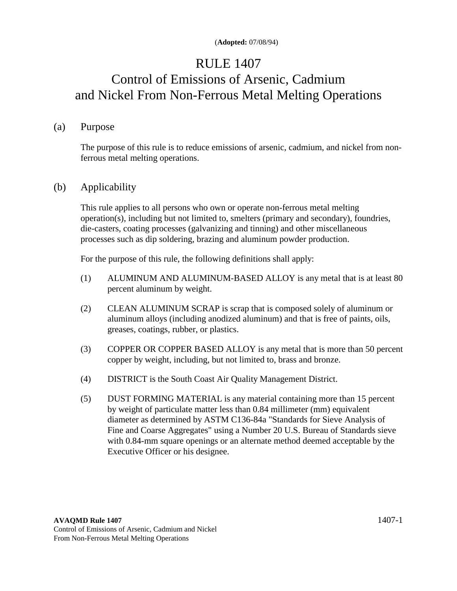## RULE 1407

# Control of Emissions of Arsenic, Cadmium and Nickel From Non-Ferrous Metal Melting Operations

#### (a) Purpose

 The purpose of this rule is to reduce emissions of arsenic, cadmium, and nickel from nonferrous metal melting operations.

## (b) Applicability

 This rule applies to all persons who own or operate non-ferrous metal melting operation(s), including but not limited to, smelters (primary and secondary), foundries, die-casters, coating processes (galvanizing and tinning) and other miscellaneous processes such as dip soldering, brazing and aluminum powder production.

For the purpose of this rule, the following definitions shall apply:

- (1) ALUMINUM AND ALUMINUM-BASED ALLOY is any metal that is at least 80 percent aluminum by weight.
- (2) CLEAN ALUMINUM SCRAP is scrap that is composed solely of aluminum or aluminum alloys (including anodized aluminum) and that is free of paints, oils, greases, coatings, rubber, or plastics.
- (3) COPPER OR COPPER BASED ALLOY is any metal that is more than 50 percent copper by weight, including, but not limited to, brass and bronze.
- (4) DISTRICT is the South Coast Air Quality Management District.
- (5) DUST FORMING MATERIAL is any material containing more than 15 percent by weight of particulate matter less than 0.84 millimeter (mm) equivalent diameter as determined by ASTM C136-84a "Standards for Sieve Analysis of Fine and Coarse Aggregates" using a Number 20 U.S. Bureau of Standards sieve with 0.84-mm square openings or an alternate method deemed acceptable by the Executive Officer or his designee.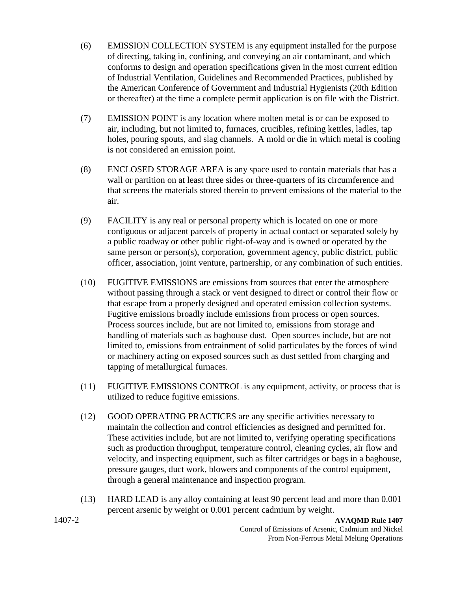- (6) EMISSION COLLECTION SYSTEM is any equipment installed for the purpose of directing, taking in, confining, and conveying an air contaminant, and which conforms to design and operation specifications given in the most current edition of Industrial Ventilation, Guidelines and Recommended Practices, published by the American Conference of Government and Industrial Hygienists (20th Edition or thereafter) at the time a complete permit application is on file with the District.
- (7) EMISSION POINT is any location where molten metal is or can be exposed to air, including, but not limited to, furnaces, crucibles, refining kettles, ladles, tap holes, pouring spouts, and slag channels. A mold or die in which metal is cooling is not considered an emission point.
- (8) ENCLOSED STORAGE AREA is any space used to contain materials that has a wall or partition on at least three sides or three-quarters of its circumference and that screens the materials stored therein to prevent emissions of the material to the air.
- (9) FACILITY is any real or personal property which is located on one or more contiguous or adjacent parcels of property in actual contact or separated solely by a public roadway or other public right-of-way and is owned or operated by the same person or person(s), corporation, government agency, public district, public officer, association, joint venture, partnership, or any combination of such entities.
- (10) FUGITIVE EMISSIONS are emissions from sources that enter the atmosphere without passing through a stack or vent designed to direct or control their flow or that escape from a properly designed and operated emission collection systems. Fugitive emissions broadly include emissions from process or open sources. Process sources include, but are not limited to, emissions from storage and handling of materials such as baghouse dust. Open sources include, but are not limited to, emissions from entrainment of solid particulates by the forces of wind or machinery acting on exposed sources such as dust settled from charging and tapping of metallurgical furnaces.
- (11) FUGITIVE EMISSIONS CONTROL is any equipment, activity, or process that is utilized to reduce fugitive emissions.
- (12) GOOD OPERATING PRACTICES are any specific activities necessary to maintain the collection and control efficiencies as designed and permitted for. These activities include, but are not limited to, verifying operating specifications such as production throughput, temperature control, cleaning cycles, air flow and velocity, and inspecting equipment, such as filter cartridges or bags in a baghouse, pressure gauges, duct work, blowers and components of the control equipment, through a general maintenance and inspection program.
- (13) HARD LEAD is any alloy containing at least 90 percent lead and more than 0.001 percent arsenic by weight or 0.001 percent cadmium by weight.

1407-2 **AVAQMD Rule 1407**  Control of Emissions of Arsenic, Cadmium and Nickel From Non-Ferrous Metal Melting Operations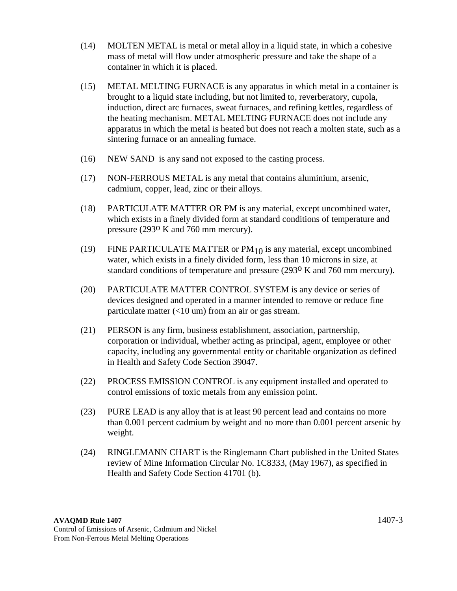- (14) MOLTEN METAL is metal or metal alloy in a liquid state, in which a cohesive mass of metal will flow under atmospheric pressure and take the shape of a container in which it is placed.
- (15) METAL MELTING FURNACE is any apparatus in which metal in a container is brought to a liquid state including, but not limited to, reverberatory, cupola, induction, direct arc furnaces, sweat furnaces, and refining kettles, regardless of the heating mechanism. METAL MELTING FURNACE does not include any apparatus in which the metal is heated but does not reach a molten state, such as a sintering furnace or an annealing furnace.
- (16) NEW SAND is any sand not exposed to the casting process.
- (17) NON-FERROUS METAL is any metal that contains aluminium, arsenic, cadmium, copper, lead, zinc or their alloys.
- (18) PARTICULATE MATTER OR PM is any material, except uncombined water, which exists in a finely divided form at standard conditions of temperature and pressure (293o K and 760 mm mercury).
- (19) FINE PARTICULATE MATTER or  $PM_{10}$  is any material, except uncombined water, which exists in a finely divided form, less than 10 microns in size, at standard conditions of temperature and pressure (293o K and 760 mm mercury).
- (20) PARTICULATE MATTER CONTROL SYSTEM is any device or series of devices designed and operated in a manner intended to remove or reduce fine particulate matter  $\left($ <10 um) from an air or gas stream.
- (21) PERSON is any firm, business establishment, association, partnership, corporation or individual, whether acting as principal, agent, employee or other capacity, including any governmental entity or charitable organization as defined in Health and Safety Code Section 39047.
- (22) PROCESS EMISSION CONTROL is any equipment installed and operated to control emissions of toxic metals from any emission point.
- (23) PURE LEAD is any alloy that is at least 90 percent lead and contains no more than 0.001 percent cadmium by weight and no more than 0.001 percent arsenic by weight.
- (24) RINGLEMANN CHART is the Ringlemann Chart published in the United States review of Mine Information Circular No. 1C8333, (May 1967), as specified in Health and Safety Code Section 41701 (b).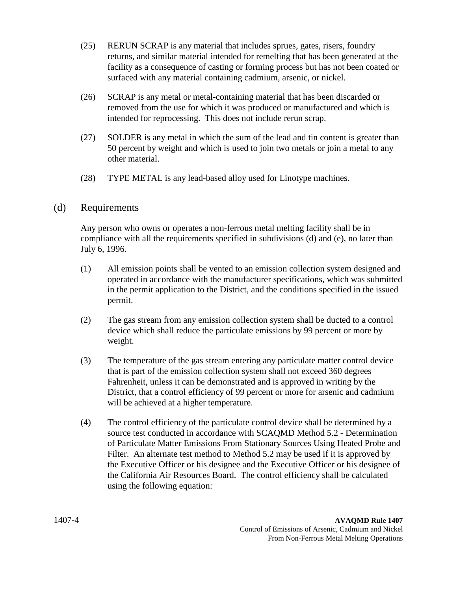- (25) RERUN SCRAP is any material that includes sprues, gates, risers, foundry returns, and similar material intended for remelting that has been generated at the facility as a consequence of casting or forming process but has not been coated or surfaced with any material containing cadmium, arsenic, or nickel.
- (26) SCRAP is any metal or metal-containing material that has been discarded or removed from the use for which it was produced or manufactured and which is intended for reprocessing. This does not include rerun scrap.
- (27) SOLDER is any metal in which the sum of the lead and tin content is greater than 50 percent by weight and which is used to join two metals or join a metal to any other material.
- (28) TYPE METAL is any lead-based alloy used for Linotype machines.

#### (d) Requirements

 Any person who owns or operates a non-ferrous metal melting facility shall be in compliance with all the requirements specified in subdivisions (d) and (e), no later than July 6, 1996.

- (1) All emission points shall be vented to an emission collection system designed and operated in accordance with the manufacturer specifications, which was submitted in the permit application to the District, and the conditions specified in the issued permit.
- (2) The gas stream from any emission collection system shall be ducted to a control device which shall reduce the particulate emissions by 99 percent or more by weight.
- (3) The temperature of the gas stream entering any particulate matter control device that is part of the emission collection system shall not exceed 360 degrees Fahrenheit, unless it can be demonstrated and is approved in writing by the District, that a control efficiency of 99 percent or more for arsenic and cadmium will be achieved at a higher temperature.
- (4) The control efficiency of the particulate control device shall be determined by a source test conducted in accordance with SCAQMD Method 5.2 - Determination of Particulate Matter Emissions From Stationary Sources Using Heated Probe and Filter. An alternate test method to Method 5.2 may be used if it is approved by the Executive Officer or his designee and the Executive Officer or his designee of the California Air Resources Board. The control efficiency shall be calculated using the following equation: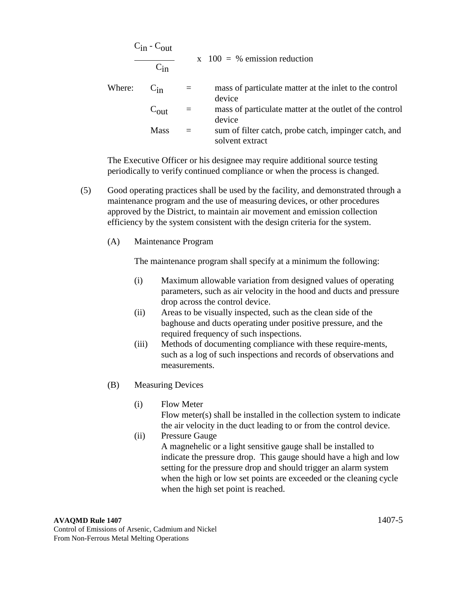$$
\frac{C_{in} - C_{out}}{C_{in}}
$$
\nwhere:  $C_{in}$  = mass of particular matter at the inlet to the control device  
\n
$$
C_{out}
$$
 = mass of particular matter at the outlet of the control device  
\nMass = sum of filter catch, probe catch, impinger catch, and

 The Executive Officer or his designee may require additional source testing periodically to verify continued compliance or when the process is changed.

solvent extract

- (5) Good operating practices shall be used by the facility, and demonstrated through a maintenance program and the use of measuring devices, or other procedures approved by the District, to maintain air movement and emission collection efficiency by the system consistent with the design criteria for the system.
	- (A) Maintenance Program

The maintenance program shall specify at a minimum the following:

- (i) Maximum allowable variation from designed values of operating parameters, such as air velocity in the hood and ducts and pressure drop across the control device.
- (ii) Areas to be visually inspected, such as the clean side of the baghouse and ducts operating under positive pressure, and the required frequency of such inspections.
- (iii) Methods of documenting compliance with these require-ments, such as a log of such inspections and records of observations and measurements.
- (B) Measuring Devices
	- (i) Flow Meter Flow meter(s) shall be installed in the collection system to indicate the air velocity in the duct leading to or from the control device.
	- (ii) Pressure Gauge A magnehelic or a light sensitive gauge shall be installed to indicate the pressure drop. This gauge should have a high and low setting for the pressure drop and should trigger an alarm system when the high or low set points are exceeded or the cleaning cycle when the high set point is reached.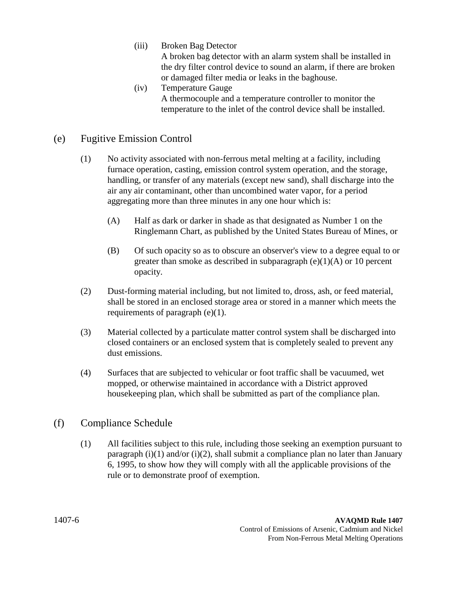(iii) Broken Bag Detector

 A broken bag detector with an alarm system shall be installed in the dry filter control device to sound an alarm, if there are broken or damaged filter media or leaks in the baghouse.

 (iv) Temperature Gauge A thermocouple and a temperature controller to monitor the temperature to the inlet of the control device shall be installed.

## (e) Fugitive Emission Control

- (1) No activity associated with non-ferrous metal melting at a facility, including furnace operation, casting, emission control system operation, and the storage, handling, or transfer of any materials (except new sand), shall discharge into the air any air contaminant, other than uncombined water vapor, for a period aggregating more than three minutes in any one hour which is:
	- (A) Half as dark or darker in shade as that designated as Number 1 on the Ringlemann Chart, as published by the United States Bureau of Mines, or
	- (B) Of such opacity so as to obscure an observer's view to a degree equal to or greater than smoke as described in subparagraph  $(e)(1)(A)$  or 10 percent opacity.
- (2) Dust-forming material including, but not limited to, dross, ash, or feed material, shall be stored in an enclosed storage area or stored in a manner which meets the requirements of paragraph (e)(1).
- (3) Material collected by a particulate matter control system shall be discharged into closed containers or an enclosed system that is completely sealed to prevent any dust emissions.
- (4) Surfaces that are subjected to vehicular or foot traffic shall be vacuumed, wet mopped, or otherwise maintained in accordance with a District approved housekeeping plan, which shall be submitted as part of the compliance plan.

## (f) Compliance Schedule

 (1) All facilities subject to this rule, including those seeking an exemption pursuant to paragraph  $(i)(1)$  and/or  $(i)(2)$ , shall submit a compliance plan no later than January 6, 1995, to show how they will comply with all the applicable provisions of the rule or to demonstrate proof of exemption.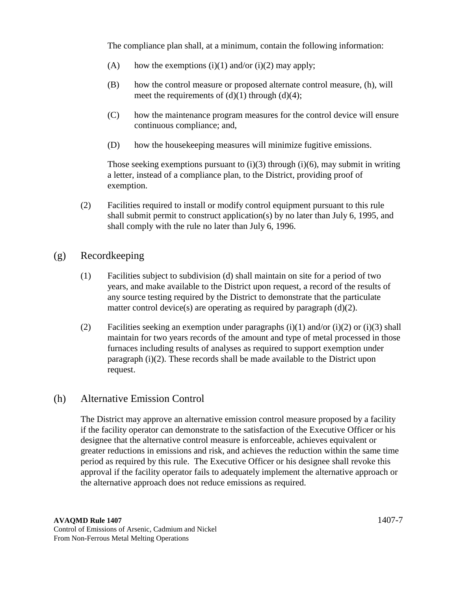The compliance plan shall, at a minimum, contain the following information:

- (A) how the exemptions (i)(1) and/or (i)(2) may apply;
- (B) how the control measure or proposed alternate control measure, (h), will meet the requirements of  $(d)(1)$  through  $(d)(4)$ ;
- (C) how the maintenance program measures for the control device will ensure continuous compliance; and,
- (D) how the housekeeping measures will minimize fugitive emissions.

Those seeking exemptions pursuant to (i)(3) through (i)(6), may submit in writing a letter, instead of a compliance plan, to the District, providing proof of exemption.

- (2) Facilities required to install or modify control equipment pursuant to this rule shall submit permit to construct application(s) by no later than July 6, 1995, and shall comply with the rule no later than July 6, 1996.
- (g) Recordkeeping
	- (1) Facilities subject to subdivision (d) shall maintain on site for a period of two years, and make available to the District upon request, a record of the results of any source testing required by the District to demonstrate that the particulate matter control device(s) are operating as required by paragraph (d)(2).
	- (2) Facilities seeking an exemption under paragraphs (i)(1) and/or (i)(2) or (i)(3) shall maintain for two years records of the amount and type of metal processed in those furnaces including results of analyses as required to support exemption under paragraph (i)(2). These records shall be made available to the District upon request.

## (h) Alternative Emission Control

 The District may approve an alternative emission control measure proposed by a facility if the facility operator can demonstrate to the satisfaction of the Executive Officer or his designee that the alternative control measure is enforceable, achieves equivalent or greater reductions in emissions and risk, and achieves the reduction within the same time period as required by this rule. The Executive Officer or his designee shall revoke this approval if the facility operator fails to adequately implement the alternative approach or the alternative approach does not reduce emissions as required.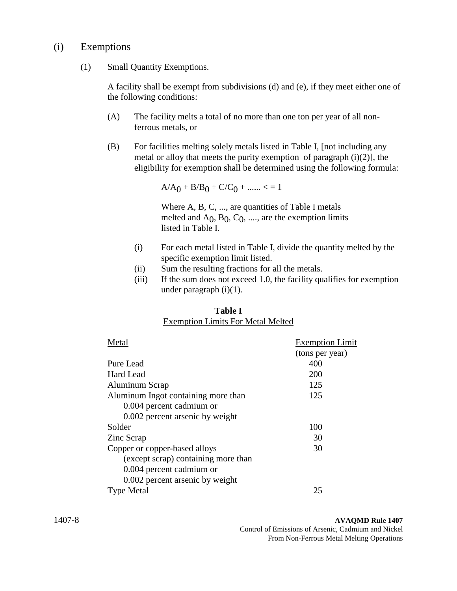## (i) Exemptions

(1) Small Quantity Exemptions.

 A facility shall be exempt from subdivisions (d) and (e), if they meet either one of the following conditions:

- (A) The facility melts a total of no more than one ton per year of all nonferrous metals, or
- (B) For facilities melting solely metals listed in Table I, [not including any metal or alloy that meets the purity exemption of paragraph  $(i)(2)$ ], the eligibility for exemption shall be determined using the following formula:

 $A/A_0 + B/B_0 + C/C_0 + \dots < 1$ 

Where A, B, C, ..., are quantities of Table I metals melted and  $A_0$ ,  $B_0$ ,  $C_0$ , ...., are the exemption limits listed in Table I.

- (i) For each metal listed in Table I, divide the quantity melted by the specific exemption limit listed.
- (ii) Sum the resulting fractions for all the metals.
- (iii) If the sum does not exceed 1.0, the facility qualifies for exemption under paragraph (i)(1).

| <b>Table I</b> |  |  |  |  |                                          |  |
|----------------|--|--|--|--|------------------------------------------|--|
|                |  |  |  |  | <b>Exemption Limits For Metal Melted</b> |  |

| Metal                               | <b>Exemption Limit</b> |
|-------------------------------------|------------------------|
|                                     | (tons per year)        |
| Pure Lead                           | 400                    |
| Hard Lead                           | 200                    |
| Aluminum Scrap                      | 125                    |
| Aluminum Ingot containing more than | 125                    |
| 0.004 percent cadmium or            |                        |
| 0.002 percent arsenic by weight     |                        |
| Solder                              | 100                    |
| Zinc Scrap                          | 30                     |
| Copper or copper-based alloys       | 30                     |
| (except scrap) containing more than |                        |
| 0.004 percent cadmium or            |                        |
| 0.002 percent arsenic by weight     |                        |
| <b>Type Metal</b>                   | 25                     |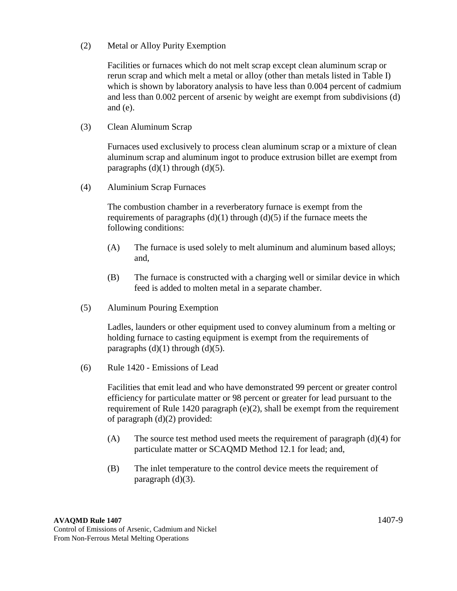(2) Metal or Alloy Purity Exemption

 Facilities or furnaces which do not melt scrap except clean aluminum scrap or rerun scrap and which melt a metal or alloy (other than metals listed in Table I) which is shown by laboratory analysis to have less than 0.004 percent of cadmium and less than 0.002 percent of arsenic by weight are exempt from subdivisions (d) and (e).

(3) Clean Aluminum Scrap

 Furnaces used exclusively to process clean aluminum scrap or a mixture of clean aluminum scrap and aluminum ingot to produce extrusion billet are exempt from paragraphs  $(d)(1)$  through  $(d)(5)$ .

(4) Aluminium Scrap Furnaces

 The combustion chamber in a reverberatory furnace is exempt from the requirements of paragraphs  $(d)(1)$  through  $(d)(5)$  if the furnace meets the following conditions:

- (A) The furnace is used solely to melt aluminum and aluminum based alloys; and,
- (B) The furnace is constructed with a charging well or similar device in which feed is added to molten metal in a separate chamber.
- (5) Aluminum Pouring Exemption

 Ladles, launders or other equipment used to convey aluminum from a melting or holding furnace to casting equipment is exempt from the requirements of paragraphs  $(d)(1)$  through  $(d)(5)$ .

(6) Rule 1420 - Emissions of Lead

 Facilities that emit lead and who have demonstrated 99 percent or greater control efficiency for particulate matter or 98 percent or greater for lead pursuant to the requirement of Rule 1420 paragraph (e)(2), shall be exempt from the requirement of paragraph (d)(2) provided:

- (A) The source test method used meets the requirement of paragraph (d)(4) for particulate matter or SCAQMD Method 12.1 for lead; and,
- (B) The inlet temperature to the control device meets the requirement of paragraph  $(d)(3)$ .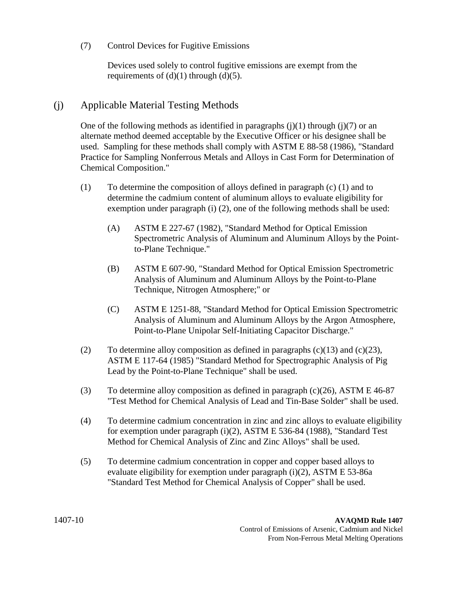#### (7) Control Devices for Fugitive Emissions

Devices used solely to control fugitive emissions are exempt from the requirements of  $(d)(1)$  through  $(d)(5)$ .

## (j) Applicable Material Testing Methods

One of the following methods as identified in paragraphs  $(j)(1)$  through  $(j)(7)$  or an alternate method deemed acceptable by the Executive Officer or his designee shall be used. Sampling for these methods shall comply with ASTM E 88-58 (1986), "Standard Practice for Sampling Nonferrous Metals and Alloys in Cast Form for Determination of Chemical Composition."

- (1) To determine the composition of alloys defined in paragraph (c) (1) and to determine the cadmium content of aluminum alloys to evaluate eligibility for exemption under paragraph (i) (2), one of the following methods shall be used:
	- (A) ASTM E 227-67 (1982), "Standard Method for Optical Emission Spectrometric Analysis of Aluminum and Aluminum Alloys by the Pointto-Plane Technique."
	- (B) ASTM E 607-90, "Standard Method for Optical Emission Spectrometric Analysis of Aluminum and Aluminum Alloys by the Point-to-Plane Technique, Nitrogen Atmosphere;" or
	- (C) ASTM E 1251-88, "Standard Method for Optical Emission Spectrometric Analysis of Aluminum and Aluminum Alloys by the Argon Atmosphere, Point-to-Plane Unipolar Self-Initiating Capacitor Discharge."
- (2) To determine alloy composition as defined in paragraphs  $(c)(13)$  and  $(c)(23)$ , ASTM E 117-64 (1985) "Standard Method for Spectrographic Analysis of Pig Lead by the Point-to-Plane Technique" shall be used.
- (3) To determine alloy composition as defined in paragraph (c)(26), ASTM E 46-87 "Test Method for Chemical Analysis of Lead and Tin-Base Solder" shall be used.
- (4) To determine cadmium concentration in zinc and zinc alloys to evaluate eligibility for exemption under paragraph (i)(2), ASTM E 536-84 (1988), "Standard Test Method for Chemical Analysis of Zinc and Zinc Alloys" shall be used.
- (5) To determine cadmium concentration in copper and copper based alloys to evaluate eligibility for exemption under paragraph (i)(2), ASTM E 53-86a "Standard Test Method for Chemical Analysis of Copper" shall be used.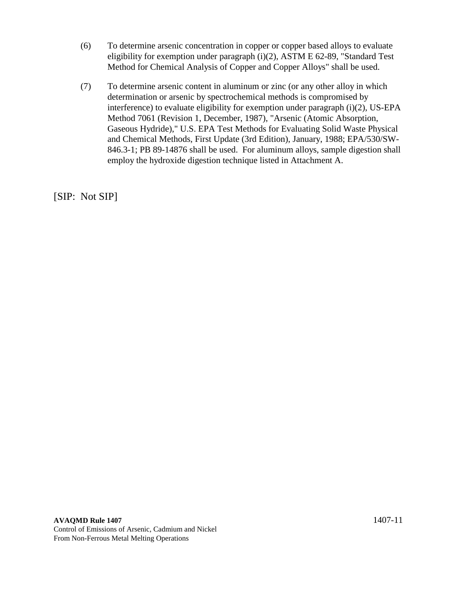- (6) To determine arsenic concentration in copper or copper based alloys to evaluate eligibility for exemption under paragraph (i)(2), ASTM E 62-89, "Standard Test Method for Chemical Analysis of Copper and Copper Alloys" shall be used.
- (7) To determine arsenic content in aluminum or zinc (or any other alloy in which determination or arsenic by spectrochemical methods is compromised by interference) to evaluate eligibility for exemption under paragraph (i)(2), US-EPA Method 7061 (Revision 1, December, 1987), "Arsenic (Atomic Absorption, Gaseous Hydride)," U.S. EPA Test Methods for Evaluating Solid Waste Physical and Chemical Methods, First Update (3rd Edition), January, 1988; EPA/530/SW-846.3-1; PB 89-14876 shall be used. For aluminum alloys, sample digestion shall employ the hydroxide digestion technique listed in Attachment A.

[SIP: Not SIP]